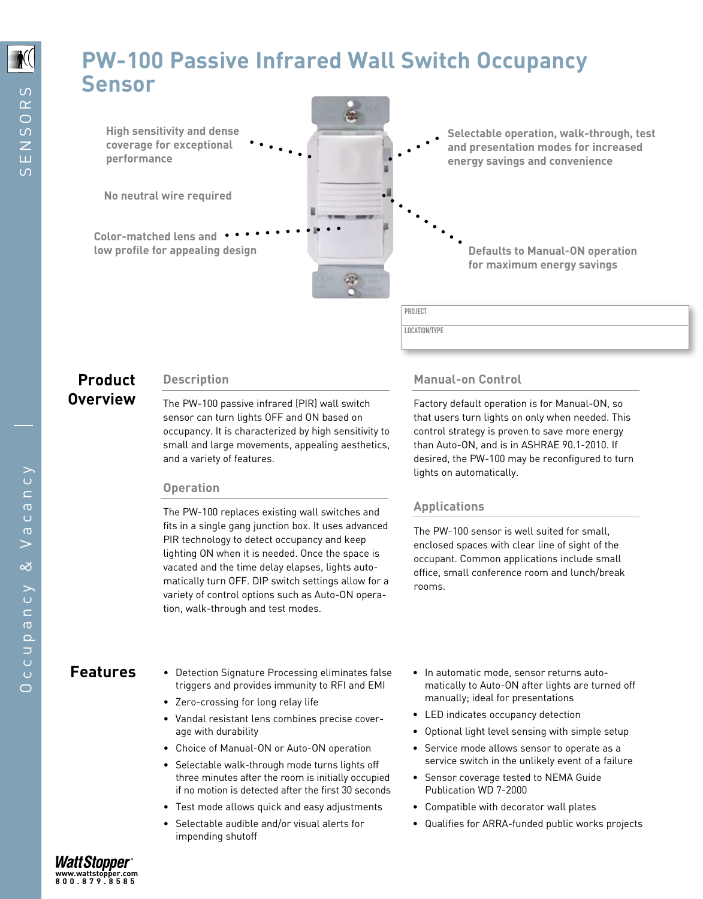# **PW-100 Passive Infrared Wall Switch Occupancy**<br>Sensor

**High sensitivity and dense coverage for exceptional performance**

**No neutral wire required**

**Color-matched lens and low profile for appealing design**



**Selectable operation, walk-through, test and presentation modes for increased energy savings and convenience**

> **Defaults to Manual-ON operation for maximum energy savings**

## PROJECT

LOCATION/TYPE

# **Product Description Overview**

The PW-100 passive infrared (PIR) wall switch sensor can turn lights OFF and ON based on occupancy. It is characterized by high sensitivity to small and large movements, appealing aesthetics, and a variety of features.

## **Operation**

The PW-100 replaces existing wall switches and fits in a single gang junction box. It uses advanced PIR technology to detect occupancy and keep lighting ON when it is needed. Once the space is vacated and the time delay elapses, lights automatically turn OFF. DIP switch settings allow for a variety of control options such as Auto-ON operation, walk-through and test modes.

## **Manual-on Control**

Factory default operation is for Manual-ON, so that users turn lights on only when needed. This control strategy is proven to save more energy than Auto-ON, and is in ASHRAE 90.1-2010. If desired, the PW-100 may be reconfigured to turn lights on automatically.

## **Applications**

The PW-100 sensor is well suited for small, enclosed spaces with clear line of sight of the occupant. Common applications include small office, small conference room and lunch/break rooms.

Vacancy

- triggers and provides immunity to RFI and EMI
	- • Zero-crossing for long relay life
	- • Vandal resistant lens combines precise coverage with durability
	- Choice of Manual-ON or Auto-ON operation
	- • Selectable walk-through mode turns lights off three minutes after the room is initially occupied if no motion is detected after the first 30 seconds
	- • Test mode allows quick and easy adjustments
	- • Selectable audible and/or visual alerts for impending shutoff
- Features Detection Signature Processing eliminates false In automatic mode, sensor returns automatically to Auto-ON after lights are turned off manually; ideal for presentations
	- • LED indicates occupancy detection
	- • Optional light level sensing with simple setup
	- • Service mode allows sensor to operate as a service switch in the unlikely event of a failure
	- • Sensor coverage tested to NEMA Guide Publication WD 7-2000
	- • Compatible with decorator wall plates
	- • Qualifies for ARRA-funded public works projects